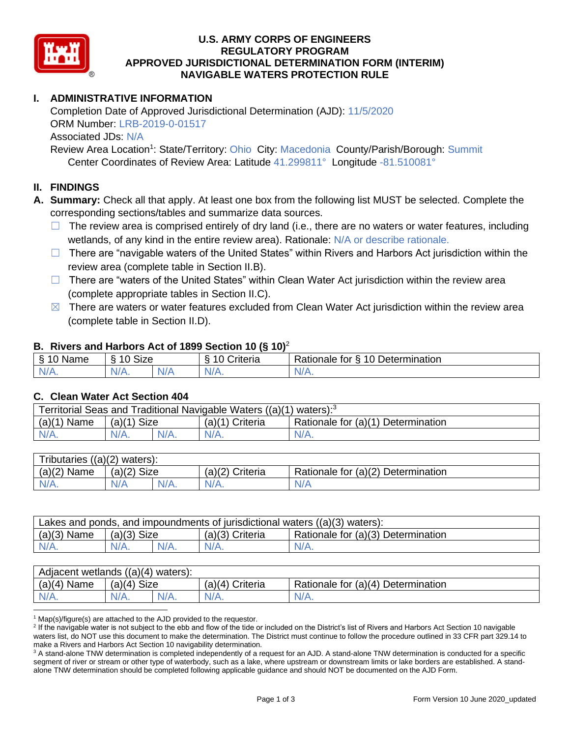

## **U.S. ARMY CORPS OF ENGINEERS REGULATORY PROGRAM APPROVED JURISDICTIONAL DETERMINATION FORM (INTERIM) NAVIGABLE WATERS PROTECTION RULE**

# **I. ADMINISTRATIVE INFORMATION**

Completion Date of Approved Jurisdictional Determination (AJD): 11/5/2020 ORM Number: LRB-2019-0-01517 Associated JDs: N/A

Review Area Location<sup>1</sup>: State/Territory: Ohio City: Macedonia County/Parish/Borough: Summit Center Coordinates of Review Area: Latitude 41.299811° Longitude -81.510081°

## **II. FINDINGS**

**A. Summary:** Check all that apply. At least one box from the following list MUST be selected. Complete the corresponding sections/tables and summarize data sources.

- $\Box$  The review area is comprised entirely of dry land (i.e., there are no waters or water features, including wetlands, of any kind in the entire review area). Rationale: N/A or describe rationale.
- $\Box$  There are "navigable waters of the United States" within Rivers and Harbors Act jurisdiction within the review area (complete table in Section II.B).
- $\Box$  There are "waters of the United States" within Clean Water Act jurisdiction within the review area (complete appropriate tables in Section II.C).
- $\boxtimes$  There are waters or water features excluded from Clean Water Act jurisdiction within the review area (complete table in Section II.D).

#### **B. Rivers and Harbors Act of 1899 Section 10 (§ 10)**<sup>2</sup>

| $\cdot$      |                                           |     |                                 |                                              |  |  |  |  |
|--------------|-------------------------------------------|-----|---------------------------------|----------------------------------------------|--|--|--|--|
| Name         | <b>Size</b><br>$\overline{A}$<br>- O<br>. |     | $\sim$ $\sim$<br>10<br>≑riteria | 10<br>Determination<br>-<br>Rationale<br>tor |  |  |  |  |
| N/f<br>17 m. | N/A.                                      | N/A | N/                              | $1/\Lambda$<br>N/A.                          |  |  |  |  |

#### **C. Clean Water Act Section 404**

| Territorial Seas and Traditional Navigable Waters $((a)(1)$ waters): <sup>3</sup> |                       |  |                 |                                    |  |  |  |  |
|-----------------------------------------------------------------------------------|-----------------------|--|-----------------|------------------------------------|--|--|--|--|
| (a)(1)<br>Name                                                                    | <b>Size</b><br>(a)(1) |  | (a)(1) Criteria | Rationale for (a)(1) Determination |  |  |  |  |
|                                                                                   | $N/A$ .               |  | $N/A$ .         | $N/A$ .                            |  |  |  |  |

| ((a)(2)<br>Tributaries,<br>waters):                                                    |                |  |                    |                                    |  |  |  |  |
|----------------------------------------------------------------------------------------|----------------|--|--------------------|------------------------------------|--|--|--|--|
| (a)(2)<br>Name                                                                         | (a)(2)<br>Size |  | (a)(2)<br>Criteria | Rationale for (a)(2) Determination |  |  |  |  |
| N/L<br>$\left\langle \frac{\partial \mathbf{v}}{\partial t}, \mathbf{v} \right\rangle$ | N/A<br>$N/A$ . |  | N/A.               | N/A                                |  |  |  |  |

| Lakes and ponds, and impoundments of jurisdictional waters $((a)(3)$ waters): |                    |  |                 |                                    |  |  |  |
|-------------------------------------------------------------------------------|--------------------|--|-----------------|------------------------------------|--|--|--|
| $(a)(3)$ Name                                                                 | $(a)(3)$ Size      |  | (a)(3) Criteria | Rationale for (a)(3) Determination |  |  |  |
| $N/A$ .                                                                       | $N/A$ .<br>$N/A$ . |  | $N/A$ .         | $N/A$ .                            |  |  |  |

| Adjacent wetlands $((a)(4)$ waters): |                       |  |                    |                                    |  |  |  |  |
|--------------------------------------|-----------------------|--|--------------------|------------------------------------|--|--|--|--|
| (a)(4)<br>Name                       | <b>Size</b><br>(a)(4) |  | Criteria<br>(a)(4) | Rationale for (a)(4) Determination |  |  |  |  |
| N/A.                                 | $N/A$ .<br>$N/A$ .    |  | $N/A$ .            | $N/A$ .                            |  |  |  |  |

 $1$  Map(s)/figure(s) are attached to the AJD provided to the requestor.

<sup>2</sup> If the navigable water is not subject to the ebb and flow of the tide or included on the District's list of Rivers and Harbors Act Section 10 navigable waters list, do NOT use this document to make the determination. The District must continue to follow the procedure outlined in 33 CFR part 329.14 to make a Rivers and Harbors Act Section 10 navigability determination.

<sup>3</sup> A stand-alone TNW determination is completed independently of a request for an AJD. A stand-alone TNW determination is conducted for a specific segment of river or stream or other type of waterbody, such as a lake, where upstream or downstream limits or lake borders are established. A standalone TNW determination should be completed following applicable guidance and should NOT be documented on the AJD Form.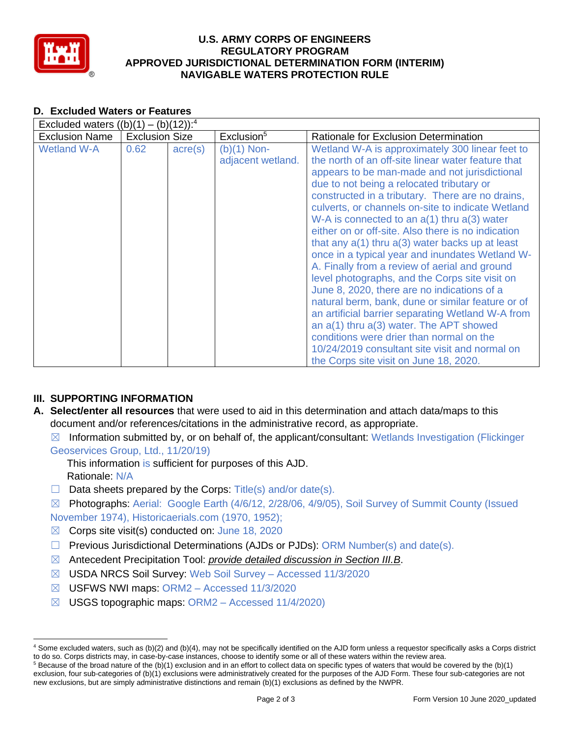

## **U.S. ARMY CORPS OF ENGINEERS REGULATORY PROGRAM APPROVED JURISDICTIONAL DETERMINATION FORM (INTERIM) NAVIGABLE WATERS PROTECTION RULE**

## **D. Excluded Waters or Features**

| Excluded waters $((b)(1) - (b)(12))$ : <sup>4</sup> |                       |                  |                                    |                                                                                                                                                                                                                                                                                                                                                                                                                                                                                                                                                                                                                                                                                                                                                                                                                                                                                                                                                                                    |  |  |  |  |  |
|-----------------------------------------------------|-----------------------|------------------|------------------------------------|------------------------------------------------------------------------------------------------------------------------------------------------------------------------------------------------------------------------------------------------------------------------------------------------------------------------------------------------------------------------------------------------------------------------------------------------------------------------------------------------------------------------------------------------------------------------------------------------------------------------------------------------------------------------------------------------------------------------------------------------------------------------------------------------------------------------------------------------------------------------------------------------------------------------------------------------------------------------------------|--|--|--|--|--|
| <b>Exclusion Name</b>                               | <b>Exclusion Size</b> |                  | Exclusion <sup>5</sup>             | Rationale for Exclusion Determination                                                                                                                                                                                                                                                                                                                                                                                                                                                                                                                                                                                                                                                                                                                                                                                                                                                                                                                                              |  |  |  |  |  |
| <b>Wetland W-A</b>                                  | 0.62                  | $\text{acre}(s)$ | $(b)(1)$ Non-<br>adjacent wetland. | Wetland W-A is approximately 300 linear feet to<br>the north of an off-site linear water feature that<br>appears to be man-made and not jurisdictional<br>due to not being a relocated tributary or<br>constructed in a tributary. There are no drains,<br>culverts, or channels on-site to indicate Wetland<br>W-A is connected to an $a(1)$ thru $a(3)$ water<br>either on or off-site. Also there is no indication<br>that any $a(1)$ thru $a(3)$ water backs up at least<br>once in a typical year and inundates Wetland W-<br>A. Finally from a review of aerial and ground<br>level photographs, and the Corps site visit on<br>June 8, 2020, there are no indications of a<br>natural berm, bank, dune or similar feature or of<br>an artificial barrier separating Wetland W-A from<br>an $a(1)$ thru $a(3)$ water. The APT showed<br>conditions were drier than normal on the<br>10/24/2019 consultant site visit and normal on<br>the Corps site visit on June 18, 2020. |  |  |  |  |  |

# **III. SUPPORTING INFORMATION**

**A. Select/enter all resources** that were used to aid in this determination and attach data/maps to this document and/or references/citations in the administrative record, as appropriate.

 $\boxtimes$  Information submitted by, or on behalf of, the applicant/consultant: Wetlands Investigation (Flickinger Geoservices Group, Ltd., 11/20/19)

This information is sufficient for purposes of this AJD. Rationale: N/A

 $\Box$  Data sheets prepared by the Corps: Title(s) and/or date(s).

☒ Photographs: Aerial: Google Earth (4/6/12, 2/28/06, 4/9/05), Soil Survey of Summit County (Issued November 1974), Historicaerials.com (1970, 1952);

- $\boxtimes$  Corps site visit(s) conducted on: June 18, 2020
- $\Box$  Previous Jurisdictional Determinations (AJDs or PJDs): ORM Number(s) and date(s).
- ☒ Antecedent Precipitation Tool: *provide detailed discussion in Section III.B*.
- ☒ USDA NRCS Soil Survey: Web Soil Survey Accessed 11/3/2020
- ☒ USFWS NWI maps: ORM2 Accessed 11/3/2020
- $\boxtimes$  USGS topographic maps: ORM2 Accessed 11/4/2020)

<sup>4</sup> Some excluded waters, such as (b)(2) and (b)(4), may not be specifically identified on the AJD form unless a requestor specifically asks a Corps district to do so. Corps districts may, in case-by-case instances, choose to identify some or all of these waters within the review area.

 $5$  Because of the broad nature of the (b)(1) exclusion and in an effort to collect data on specific types of waters that would be covered by the (b)(1) exclusion, four sub-categories of (b)(1) exclusions were administratively created for the purposes of the AJD Form. These four sub-categories are not new exclusions, but are simply administrative distinctions and remain (b)(1) exclusions as defined by the NWPR.